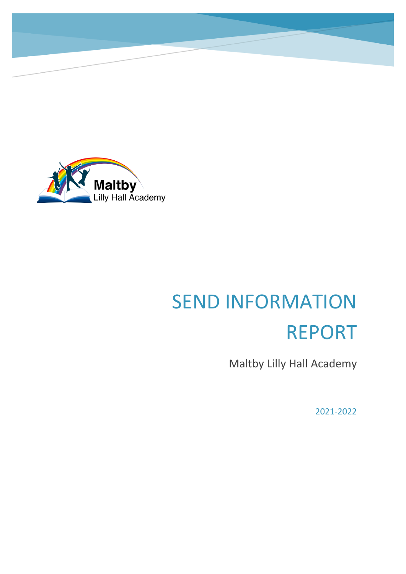

# SEND INFORMATION REPORT

Maltby Lilly Hall Academy

2021-2022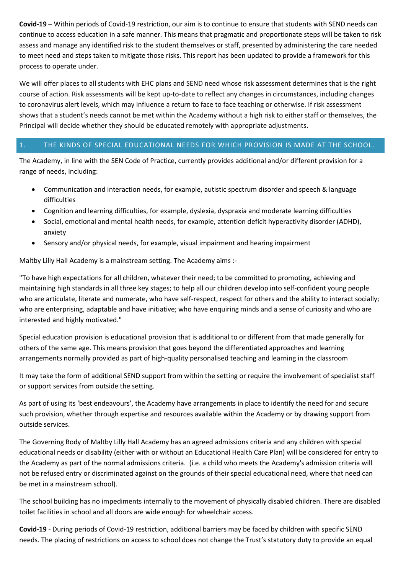**Covid-19** – Within periods of Covid-19 restriction, our aim is to continue to ensure that students with SEND needs can continue to access education in a safe manner. This means that pragmatic and proportionate steps will be taken to risk assess and manage any identified risk to the student themselves or staff, presented by administering the care needed to meet need and steps taken to mitigate those risks. This report has been updated to provide a framework for this process to operate under.

We will offer places to all students with EHC plans and SEND need whose risk assessment determines that is the right course of action. Risk assessments will be kept up-to-date to reflect any changes in circumstances, including changes to coronavirus alert levels, which may influence a return to face to face teaching or otherwise. If risk assessment shows that a student's needs cannot be met within the Academy without a high risk to either staff or themselves, the Principal will decide whether they should be educated remotely with appropriate adjustments.

# 1. THE KINDS OF SPECIAL EDUCATIONAL NEEDS FOR WHICH PROVISION IS MADE AT THE SCHOOL.

The Academy, in line with the SEN Code of Practice, currently provides additional and/or different provision for a range of needs, including:

- Communication and interaction needs, for example, autistic spectrum disorder and speech & language difficulties
- Cognition and learning difficulties, for example, dyslexia, dyspraxia and moderate learning difficulties
- Social, emotional and mental health needs, for example, attention deficit hyperactivity disorder (ADHD), anxiety
- Sensory and/or physical needs, for example, visual impairment and hearing impairment

Maltby Lilly Hall Academy is a mainstream setting. The Academy aims :-

"To have high expectations for all children, whatever their need; to be committed to promoting, achieving and maintaining high standards in all three key stages; to help all our children develop into self-confident young people who are articulate, literate and numerate, who have self-respect, respect for others and the ability to interact socially; who are enterprising, adaptable and have initiative; who have enquiring minds and a sense of curiosity and who are interested and highly motivated."

Special education provision is educational provision that is additional to or different from that made generally for others of the same age. This means provision that goes beyond the differentiated approaches and learning arrangements normally provided as part of high-quality personalised teaching and learning in the classroom

It may take the form of additional SEND support from within the setting or require the involvement of specialist staff or support services from outside the setting.

As part of using its 'best endeavours', the Academy have arrangements in place to identify the need for and secure such provision, whether through expertise and resources available within the Academy or by drawing support from outside services.

The Governing Body of Maltby Lilly Hall Academy has an agreed admissions criteria and any children with special educational needs or disability (either with or without an Educational Health Care Plan) will be considered for entry to the Academy as part of the normal admissions criteria. (i.e. a child who meets the Academy's admission criteria will not be refused entry or discriminated against on the grounds of their special educational need, where that need can be met in a mainstream school).

The school building has no impediments internally to the movement of physically disabled children. There are disabled toilet facilities in school and all doors are wide enough for wheelchair access.

**Covid-19** - During periods of Covid-19 restriction, additional barriers may be faced by children with specific SEND needs. The placing of restrictions on access to school does not change the Trust's statutory duty to provide an equal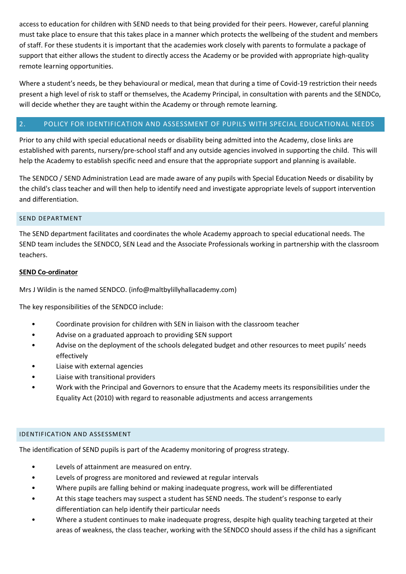access to education for children with SEND needs to that being provided for their peers. However, careful planning must take place to ensure that this takes place in a manner which protects the wellbeing of the student and members of staff. For these students it is important that the academies work closely with parents to formulate a package of support that either allows the student to directly access the Academy or be provided with appropriate high-quality remote learning opportunities.

Where a student's needs, be they behavioural or medical, mean that during a time of Covid-19 restriction their needs present a high level of risk to staff or themselves, the Academy Principal, in consultation with parents and the SENDCo, will decide whether they are taught within the Academy or through remote learning.

# 2. POLICY FOR IDENTIFICATION AND ASSESSMENT OF PUPILS WITH SPECIAL EDUCATIONAL NEEDS

Prior to any child with special educational needs or disability being admitted into the Academy, close links are established with parents, nursery/pre-school staff and any outside agencies involved in supporting the child. This will help the Academy to establish specific need and ensure that the appropriate support and planning is available.

The SENDCO / SEND Administration Lead are made aware of any pupils with Special Education Needs or disability by the child's class teacher and will then help to identify need and investigate appropriate levels of support intervention and differentiation.

## SEND DEPARTMENT

The SEND department facilitates and coordinates the whole Academy approach to special educational needs. The SEND team includes the SENDCO, SEN Lead and the Associate Professionals working in partnership with the classroom teachers.

## **SEND Co-ordinator**

Mrs J Wildin is the named SENDCO. (info@maltbylillyhallacademy.com)

The key responsibilities of the SENDCO include:

- Coordinate provision for children with SEN in liaison with the classroom teacher
- Advise on a graduated approach to providing SEN support
- Advise on the deployment of the schools delegated budget and other resources to meet pupils' needs effectively
- Liaise with external agencies
- Liaise with transitional providers
- Work with the Principal and Governors to ensure that the Academy meets its responsibilities under the Equality Act (2010) with regard to reasonable adjustments and access arrangements

#### IDENTIFICATION AND ASSESSMENT

The identification of SEND pupils is part of the Academy monitoring of progress strategy.

- Levels of attainment are measured on entry.
- Levels of progress are monitored and reviewed at regular intervals
- Where pupils are falling behind or making inadequate progress, work will be differentiated
- At this stage teachers may suspect a student has SEND needs. The student's response to early differentiation can help identify their particular needs
- Where a student continues to make inadequate progress, despite high quality teaching targeted at their areas of weakness, the class teacher, working with the SENDCO should assess if the child has a significant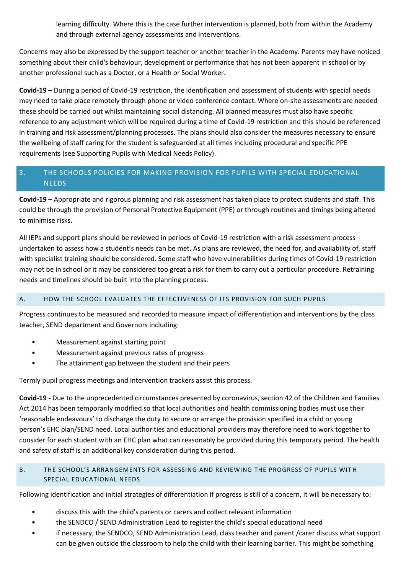learning difficulty. Where this is the case further intervention is planned, both from within the Academy and through external agency assessments and interventions.

Concerns may also be expressed by the support teacher or another teacher in the Academy. Parents may have noticed something about their child's behaviour, development or performance that has not been apparent in school or by another professional such as a Doctor, or a Health or Social Worker.

**Covid-19** – During a period of Covid-19 restriction, the identification and assessment of students with special needs may need to take place remotely through phone or video conference contact. Where on-site assessments are needed these should be carried out whilst maintaining social distancing. All planned measures must also have specific reference to any adjustment which will be required during a time of Covid-19 restriction and this should be referenced in training and risk assessment/planning processes. The plans should also consider the measures necessary to ensure the wellbeing of staff caring for the student is safeguarded at all times including procedural and specific PPE requirements (see Supporting Pupils with Medical Needs Policy).

# 3. THE SCHOOLS POLICIES FOR MAKING PROVISION FOR PUPILS WITH SPECIAL EDUCATIONAL **NEEDS**

**Covid-19** – Appropriate and rigorous planning and risk assessment has taken place to protect students and staff. This could be through the provision of Personal Protective Equipment (PPE) or through routines and timings being altered to minimise risks.

All IEPs and support plans should be reviewed in periods of Covid-19 restriction with a risk assessment process undertaken to assess how a student's needs can be met. As plans are reviewed, the need for, and availability of, staff with specialist training should be considered. Some staff who have vulnerabilities during times of Covid-19 restriction may not be in school or it may be considered too great a risk for them to carry out a particular procedure. Retraining needs and timelines should be built into the planning process.

# A. HOW THE SCHOOL EVALUATES THE EFFECTIVENESS OF ITS PROVISION FOR SUCH PUPILS

Progress continues to be measured and recorded to measure impact of differentiation and interventions by the class teacher, SEND department and Governors including:

- Measurement against starting point
- Measurement against previous rates of progress
- The attainment gap between the student and their peers

Termly pupil progress meetings and intervention trackers assist this process.

**Covid-19 -** Due to the unprecedented circumstances presented by coronavirus, section 42 of the Children and Families Act 2014 has been temporarily modified so that local authorities and health commissioning bodies must use their 'reasonable endeavours' to discharge the duty to secure or arrange the provision specified in a child or young person's EHC plan/SEND need. Local authorities and educational providers may therefore need to work together to consider for each student with an EHC plan what can reasonably be provided during this temporary period. The health and safety of staff is an additional key consideration during this period.

# B. THE SCHOOL'S ARRANGEMENTS FOR ASSESSING AND REVIEWING THE PROGRESS OF PUPILS WITH SPECIAL EDUCATIONAL NEEDS

Following identification and initial strategies of differentiation if progress is still of a concern, it will be necessary to:

- discuss this with the child's parents or carers and collect relevant information
- the SENDCO / SEND Administration Lead to register the child's special educational need
- if necessary, the SENDCO, SEND Administration Lead, class teacher and parent /carer discuss what support can be given outside the classroom to help the child with their learning barrier. This might be something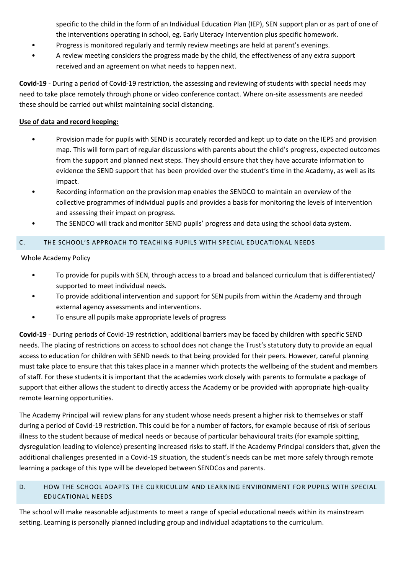specific to the child in the form of an Individual Education Plan (IEP), SEN support plan or as part of one of the interventions operating in school, eg. Early Literacy Intervention plus specific homework.

- Progress is monitored regularly and termly review meetings are held at parent's evenings.
- A review meeting considers the progress made by the child, the effectiveness of any extra support received and an agreement on what needs to happen next.

**Covid-19** - During a period of Covid-19 restriction, the assessing and reviewing of students with special needs may need to take place remotely through phone or video conference contact. Where on-site assessments are needed these should be carried out whilst maintaining social distancing.

# **Use of data and record keeping:**

- Provision made for pupils with SEND is accurately recorded and kept up to date on the IEPS and provision map. This will form part of regular discussions with parents about the child's progress, expected outcomes from the support and planned next steps. They should ensure that they have accurate information to evidence the SEND support that has been provided over the student's time in the Academy, as well as its impact.
- Recording information on the provision map enables the SENDCO to maintain an overview of the collective programmes of individual pupils and provides a basis for monitoring the levels of intervention and assessing their impact on progress.
- The SENDCO will track and monitor SEND pupils' progress and data using the school data system.

# C. THE SCHOOL'S APPROACH TO TEACHING PUPILS WITH SPECIAL EDUCATIONAL NEEDS

Whole Academy Policy

- To provide for pupils with SEN, through access to a broad and balanced curriculum that is differentiated/ supported to meet individual needs.
- To provide additional intervention and support for SEN pupils from within the Academy and through external agency assessments and interventions.
- To ensure all pupils make appropriate levels of progress

**Covid-19** - During periods of Covid-19 restriction, additional barriers may be faced by children with specific SEND needs. The placing of restrictions on access to school does not change the Trust's statutory duty to provide an equal access to education for children with SEND needs to that being provided for their peers. However, careful planning must take place to ensure that this takes place in a manner which protects the wellbeing of the student and members of staff. For these students it is important that the academies work closely with parents to formulate a package of support that either allows the student to directly access the Academy or be provided with appropriate high-quality remote learning opportunities.

The Academy Principal will review plans for any student whose needs present a higher risk to themselves or staff during a period of Covid-19 restriction. This could be for a number of factors, for example because of risk of serious illness to the student because of medical needs or because of particular behavioural traits (for example spitting, dysregulation leading to violence) presenting increased risks to staff. If the Academy Principal considers that, given the additional challenges presented in a Covid-19 situation, the student's needs can be met more safely through remote learning a package of this type will be developed between SENDCos and parents.

# D. HOW THE SCHOOL ADAPTS THE CURRICULUM AND LEARNING ENVIRONMENT FOR PUPILS WITH SPECIAL EDUCATIONAL NEEDS

The school will make reasonable adjustments to meet a range of special educational needs within its mainstream setting. Learning is personally planned including group and individual adaptations to the curriculum.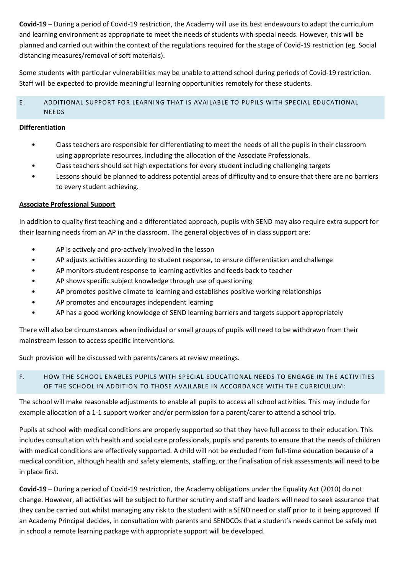**Covid-19** – During a period of Covid-19 restriction, the Academy will use its best endeavours to adapt the curriculum and learning environment as appropriate to meet the needs of students with special needs. However, this will be planned and carried out within the context of the regulations required for the stage of Covid-19 restriction (eg. Social distancing measures/removal of soft materials).

Some students with particular vulnerabilities may be unable to attend school during periods of Covid-19 restriction. Staff will be expected to provide meaningful learning opportunities remotely for these students.

# E. ADDITIONAL SUPPORT FOR LEARNING THAT IS AVAILABLE TO PUPILS WITH SPECIAL EDUCATIONAL NEEDS

# **Differentiation**

- Class teachers are responsible for differentiating to meet the needs of all the pupils in their classroom using appropriate resources, including the allocation of the Associate Professionals.
- Class teachers should set high expectations for every student including challenging targets
- Lessons should be planned to address potential areas of difficulty and to ensure that there are no barriers to every student achieving.

# **Associate Professional Support**

In addition to quality first teaching and a differentiated approach, pupils with SEND may also require extra support for their learning needs from an AP in the classroom. The general objectives of in class support are:

- AP is actively and pro-actively involved in the lesson
- AP adjusts activities according to student response, to ensure differentiation and challenge
- AP monitors student response to learning activities and feeds back to teacher
- AP shows specific subject knowledge through use of questioning
- AP promotes positive climate to learning and establishes positive working relationships
- AP promotes and encourages independent learning
- AP has a good working knowledge of SEND learning barriers and targets support appropriately

There will also be circumstances when individual or small groups of pupils will need to be withdrawn from their mainstream lesson to access specific interventions.

Such provision will be discussed with parents/carers at review meetings.

# F. HOW THE SCHOOL ENABLES PUPILS WITH SPECIAL EDUCATIONAL NEEDS TO ENGAGE IN THE ACTIVITIES OF THE SCHOOL IN ADDITION TO THOSE AVAILABLE IN ACCORDANCE WITH THE CURRICULUM:

The school will make reasonable adjustments to enable all pupils to access all school activities. This may include for example allocation of a 1-1 support worker and/or permission for a parent/carer to attend a school trip.

Pupils at school with medical conditions are properly supported so that they have full access to their education. This includes consultation with health and social care professionals, pupils and parents to ensure that the needs of children with medical conditions are effectively supported. A child will not be excluded from full-time education because of a medical condition, although health and safety elements, staffing, or the finalisation of risk assessments will need to be in place first.

**Covid-19** – During a period of Covid-19 restriction, the Academy obligations under the Equality Act (2010) do not change. However, all activities will be subject to further scrutiny and staff and leaders will need to seek assurance that they can be carried out whilst managing any risk to the student with a SEND need or staff prior to it being approved. If an Academy Principal decides, in consultation with parents and SENDCOs that a student's needs cannot be safely met in school a remote learning package with appropriate support will be developed.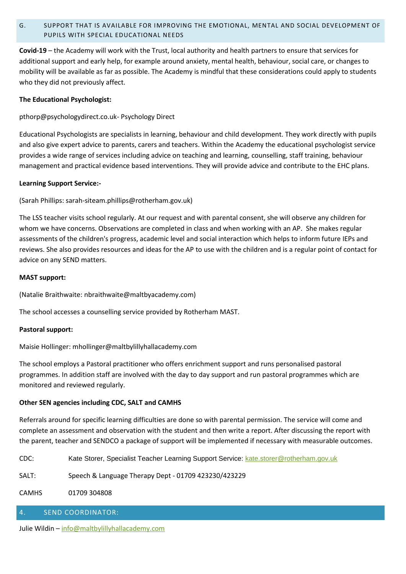# G. SUPPORT THAT IS AVAILABLE FOR IMPROVING THE EMOTIONAL, MENTAL AND SOCIAL DEVELOPMENT OF PUPILS WITH SPECIAL EDUCATIONAL NEEDS

**Covid-19** – the Academy will work with the Trust, local authority and health partners to ensure that services for additional support and early help, for example around anxiety, mental health, behaviour, social care, or changes to mobility will be available as far as possible. The Academy is mindful that these considerations could apply to students who they did not previously affect.

# **The Educational Psychologist:**

pthorp@psychologydirect.co.uk- Psychology Direct

Educational Psychologists are specialists in learning, behaviour and child development. They work directly with pupils and also give expert advice to parents, carers and teachers. Within the Academy the educational psychologist service provides a wide range of services including advice on teaching and learning, counselling, staff training, behaviour management and practical evidence based interventions. They will provide advice and contribute to the EHC plans.

# **Learning Support Service:-**

(Sarah Phillips: sarah-siteam.phillips@rotherham.gov.uk)

The LSS teacher visits school regularly. At our request and with parental consent, she will observe any children for whom we have concerns. Observations are completed in class and when working with an AP. She makes regular assessments of the children's progress, academic level and social interaction which helps to inform future IEPs and reviews. She also provides resources and ideas for the AP to use with the children and is a regular point of contact for advice on any SEND matters.

# **MAST support:**

(Natalie Braithwaite: nbraithwaite@maltbyacademy.com)

The school accesses a counselling service provided by Rotherham MAST.

# **Pastoral support:**

Maisie Hollinger: mhollinger@maltbylillyhallacademy.com

The school employs a Pastoral practitioner who offers enrichment support and runs personalised pastoral programmes. In addition staff are involved with the day to day support and run pastoral programmes which are monitored and reviewed regularly.

# **Other SEN agencies including CDC, SALT and CAMHS**

Referrals around for specific learning difficulties are done so with parental permission. The service will come and complete an assessment and observation with the student and then write a report. After discussing the report with the parent, teacher and SENDCO a package of support will be implemented if necessary with measurable outcomes.

CDC: Kate Storer, Specialist Teacher Learning Support Service: [kate.storer@rotherham.gov.uk](mailto:kate.storer@rotherham.gov.uk)

SALT: Speech & Language Therapy Dept - 01709 423230/423229

CAMHS 01709 304808

# 4. SEND COORDINATOR:

Julie Wildin – [info@maltbylillyhallacademy.com](mailto:info@maltbylillyhallacademy.com)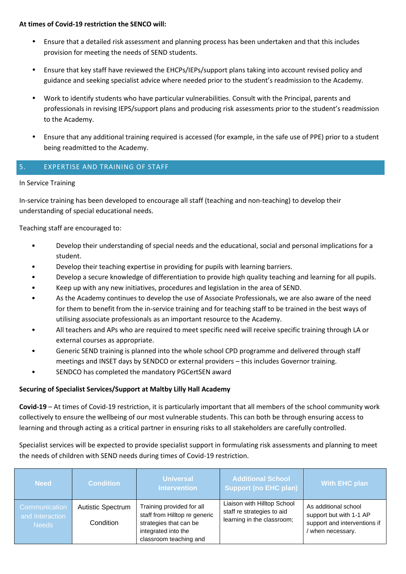#### **At times of Covid-19 restriction the SENCO will:**

- Ensure that a detailed risk assessment and planning process has been undertaken and that this includes provision for meeting the needs of SEND students.
- Ensure that key staff have reviewed the EHCPs/IEPs/support plans taking into account revised policy and guidance and seeking specialist advice where needed prior to the student's readmission to the Academy.
- Work to identify students who have particular vulnerabilities. Consult with the Principal, parents and professionals in revising IEPS/support plans and producing risk assessments prior to the student's readmission to the Academy.
- Ensure that any additional training required is accessed (for example, in the safe use of PPE) prior to a student being readmitted to the Academy.

# 5. EXPERTISE AND TRAINING OF STAFF

# In Service Training

In-service training has been developed to encourage all staff (teaching and non-teaching) to develop their understanding of special educational needs.

Teaching staff are encouraged to:

- Develop their understanding of special needs and the educational, social and personal implications for a student.
- Develop their teaching expertise in providing for pupils with learning barriers.
- Develop a secure knowledge of differentiation to provide high quality teaching and learning for all pupils.
- Keep up with any new initiatives, procedures and legislation in the area of SEND.
- As the Academy continues to develop the use of Associate Professionals, we are also aware of the need for them to benefit from the in-service training and for teaching staff to be trained in the best ways of utilising associate professionals as an important resource to the Academy.
- All teachers and APs who are required to meet specific need will receive specific training through LA or external courses as appropriate.
- Generic SEND training is planned into the whole school CPD programme and delivered through staff meetings and INSET days by SENDCO or external providers – this includes Governor training.
- SENDCO has completed the mandatory PGCertSEN award

# **Securing of Specialist Services/Support at Maltby Lilly Hall Academy**

**Covid-19** – At times of Covid-19 restriction, it is particularly important that all members of the school community work collectively to ensure the wellbeing of our most vulnerable students. This can both be through ensuring access to learning and through acting as a critical partner in ensuring risks to all stakeholders are carefully controlled.

Specialist services will be expected to provide specialist support in formulating risk assessments and planning to meet the needs of children with SEND needs during times of Covid-19 restriction.

| <b>Need</b>                      | <b>Condition</b>         | <b>Universal</b><br><b>Intervention</b>                    | <b>Additional School</b><br>Support (no EHC plan)         | With EHC plan                                   |
|----------------------------------|--------------------------|------------------------------------------------------------|-----------------------------------------------------------|-------------------------------------------------|
| Communication<br>and Interaction | <b>Autistic Spectrum</b> | Training provided for all<br>staff from Hilltop re generic | Liaison with Hilltop School<br>staff re strategies to aid | As additional school<br>support but with 1-1 AP |
| Needs                            | Condition                | strategies that can be<br>integrated into the              | learning in the classroom;                                | support and interventions if<br>when necessary. |
|                                  |                          | classroom teaching and                                     |                                                           |                                                 |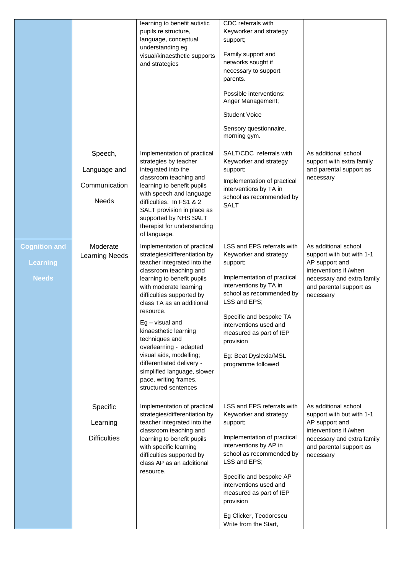|                                                  |                                                          | learning to benefit autistic<br>pupils re structure,<br>language, conceptual<br>understanding eg<br>visual/kinaesthetic supports<br>and strategies                                                                                                                                                                                                                                                                                                                                     | CDC referrals with<br>Keyworker and strategy<br>support;<br>Family support and<br>networks sought if<br>necessary to support<br>parents.<br>Possible interventions:<br>Anger Management;<br><b>Student Voice</b><br>Sensory questionnaire,<br>morning gym.                                                            |                                                                                                                                                                     |
|--------------------------------------------------|----------------------------------------------------------|----------------------------------------------------------------------------------------------------------------------------------------------------------------------------------------------------------------------------------------------------------------------------------------------------------------------------------------------------------------------------------------------------------------------------------------------------------------------------------------|-----------------------------------------------------------------------------------------------------------------------------------------------------------------------------------------------------------------------------------------------------------------------------------------------------------------------|---------------------------------------------------------------------------------------------------------------------------------------------------------------------|
|                                                  | Speech,<br>Language and<br>Communication<br><b>Needs</b> | SALT/CDC referrals with<br>Implementation of practical<br>strategies by teacher<br>Keyworker and strategy<br>integrated into the<br>support;<br>classroom teaching and<br>Implementation of practical<br>learning to benefit pupils<br>interventions by TA in<br>with speech and language<br>school as recommended by<br>difficulties. In FS1 & 2<br><b>SALT</b><br>SALT provision in place as<br>supported by NHS SALT<br>therapist for understanding<br>of language.                 |                                                                                                                                                                                                                                                                                                                       | As additional school<br>support with extra family<br>and parental support as<br>necessary                                                                           |
| <b>Cognition and</b><br>Learning<br><b>Needs</b> | Moderate<br><b>Learning Needs</b>                        | Implementation of practical<br>strategies/differentiation by<br>teacher integrated into the<br>classroom teaching and<br>learning to benefit pupils<br>with moderate learning<br>difficulties supported by<br>class TA as an additional<br>resource.<br>$Eg - visual$ and<br>kinaesthetic learning<br>techniques and<br>overlearning - adapted<br>visual aids, modelling;<br>differentiated delivery -<br>simplified language, slower<br>pace, writing frames,<br>structured sentences | LSS and EPS referrals with<br>Keyworker and strategy<br>support;<br>Implementation of practical<br>interventions by TA in<br>school as recommended by<br>LSS and EPS;<br>Specific and bespoke TA<br>interventions used and<br>measured as part of IEP<br>provision<br>Eg: Beat Dyslexia/MSL<br>programme followed     | As additional school<br>support with but with 1-1<br>AP support and<br>interventions if /when<br>necessary and extra family<br>and parental support as<br>necessary |
|                                                  | Specific<br>Learning<br><b>Difficulties</b>              | Implementation of practical<br>strategies/differentiation by<br>teacher integrated into the<br>classroom teaching and<br>learning to benefit pupils<br>with specific learning<br>difficulties supported by<br>class AP as an additional<br>resource.                                                                                                                                                                                                                                   | LSS and EPS referrals with<br>Keyworker and strategy<br>support;<br>Implementation of practical<br>interventions by AP in<br>school as recommended by<br>LSS and EPS;<br>Specific and bespoke AP<br>interventions used and<br>measured as part of IEP<br>provision<br>Eg Clicker, Teodorescu<br>Write from the Start, | As additional school<br>support with but with 1-1<br>AP support and<br>interventions if /when<br>necessary and extra family<br>and parental support as<br>necessary |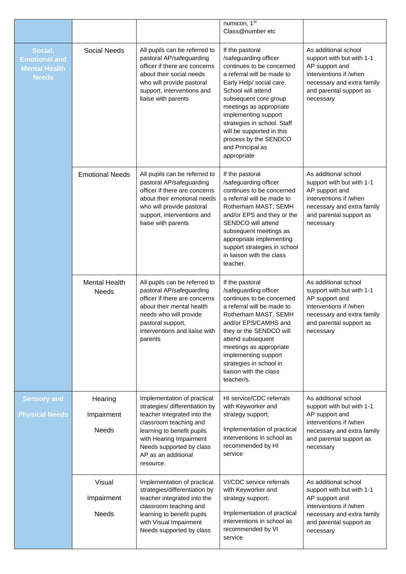|                                                                         |                                      |                                                                                                                                                                                                                                                 | numicon, 1st<br>Class@number etc                                                                                                                                                                                                                                                                                                                          |                                                                                                                                                                     |
|-------------------------------------------------------------------------|--------------------------------------|-------------------------------------------------------------------------------------------------------------------------------------------------------------------------------------------------------------------------------------------------|-----------------------------------------------------------------------------------------------------------------------------------------------------------------------------------------------------------------------------------------------------------------------------------------------------------------------------------------------------------|---------------------------------------------------------------------------------------------------------------------------------------------------------------------|
| Social,<br><b>Emotional and</b><br><b>Mental Health</b><br><b>Needs</b> | <b>Social Needs</b>                  | All pupils can be referred to<br>pastoral AP/safeguarding<br>officer if there are concerns<br>about their social needs<br>who will provide pastoral<br>support, interventions and<br>liaise with parents                                        | If the pastoral<br>/safeguarding officer<br>continues to be concerned<br>a referral will be made to<br>Early Help/ social care.<br>School will attend<br>subsequent core group<br>meetings as appropriate<br>implementing support<br>strategies in school. Staff<br>will be supported in this<br>process by the SENDCO<br>and Principal as<br>appropriate | As additional school<br>support with but with 1-1<br>AP support and<br>interventions if /when<br>necessary and extra family<br>and parental support as<br>necessary |
|                                                                         | <b>Emotional Needs</b>               | All pupils can be referred to<br>pastoral AP/safeguarding<br>officer if there are concerns<br>about their emotional needs<br>who will provide pastoral<br>support, interventions and<br>liaise with parents                                     | If the pastoral<br>/safeguarding officer<br>continues to be concerned<br>a referral will be made to<br>Rotherham MAST, SEMH<br>and/or EPS and they or the<br>SENDCO will attend<br>subsequent meetings as<br>appropriate implementing<br>support strategies in school<br>in liaison with the class<br>teacher.                                            | As additional school<br>support with but with 1-1<br>AP support and<br>interventions if /when<br>necessary and extra family<br>and parental support as<br>necessary |
|                                                                         | <b>Mental Health</b><br>Needs        | All pupils can be referred to<br>pastoral AP/safeguarding<br>officer if there are concerns<br>about their mental health<br>needs who will provide<br>pastoral support,<br>interventions and liaise with<br>parents                              | If the pastoral<br>/safeguarding officer<br>continues to be concerned<br>a referral will be made to<br>Rotherham MAST, SEMH<br>and/or EPS/CAMHS and<br>they or the SENDCO will<br>attend subsequent<br>meetings as appropriate<br>implementing support<br>strategies in school in<br>liaison with the class<br>teacher/s.                                 | As additional school<br>support with but with 1-1<br>AP support and<br>interventions if /when<br>necessary and extra family<br>and parental support as<br>necessary |
| <b>Sensory and</b><br><b>Physical Needs</b>                             | Hearing<br>Impairment<br>Needs       | Implementation of practical<br>strategies/ differentiation by<br>teacher integrated into the<br>classroom teaching and<br>learning to benefit pupils<br>with Hearing Impairment<br>Needs supported by class<br>AP as an additional<br>resource. | HI service/CDC referrals<br>with Keyworker and<br>strategy support;<br>Implementation of practical<br>interventions in school as<br>recommended by HI<br>service                                                                                                                                                                                          | As additional school<br>support with but with 1-1<br>AP support and<br>interventions if /when<br>necessary and extra family<br>and parental support as<br>necessary |
|                                                                         | Visual<br>Impairment<br><b>Needs</b> | Implementation of practical<br>strategies/differentiation by<br>teacher integrated into the<br>classroom teaching and<br>learning to benefit pupils<br>with Visual Impairment<br>Needs supported by class                                       | VI/CDC service referrals<br>with Keyworker and<br>strategy support;<br>Implementation of practical<br>interventions in school as<br>recommended by VI<br>service                                                                                                                                                                                          | As additional school<br>support with but with 1-1<br>AP support and<br>interventions if /when<br>necessary and extra family<br>and parental support as<br>necessary |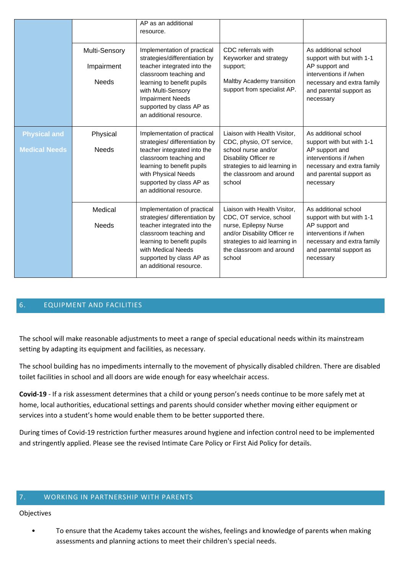|                                             | Multi-Sensory<br>Impairment<br><b>Needs</b> | AP as an additional<br>resource.<br>Implementation of practical<br>strategies/differentiation by<br>teacher integrated into the<br>classroom teaching and<br>learning to benefit pupils<br>with Multi-Sensory<br><b>Impairment Needs</b><br>supported by class AP as<br>an additional resource. | CDC referrals with<br>Keyworker and strategy<br>support;<br>Maltby Academy transition<br>support from specialist AP.                                                                    | As additional school<br>support with but with 1-1<br>AP support and<br>interventions if /when<br>necessary and extra family<br>and parental support as<br>necessary |
|---------------------------------------------|---------------------------------------------|-------------------------------------------------------------------------------------------------------------------------------------------------------------------------------------------------------------------------------------------------------------------------------------------------|-----------------------------------------------------------------------------------------------------------------------------------------------------------------------------------------|---------------------------------------------------------------------------------------------------------------------------------------------------------------------|
| <b>Physical and</b><br><b>Medical Needs</b> | Physical<br><b>Needs</b>                    | Implementation of practical<br>strategies/ differentiation by<br>teacher integrated into the<br>classroom teaching and<br>learning to benefit pupils<br>with Physical Needs<br>supported by class AP as<br>an additional resource.                                                              | Liaison with Health Visitor,<br>CDC, physio, OT service,<br>school nurse and/or<br>Disability Officer re<br>strategies to aid learning in<br>the classroom and around<br>school         | As additional school<br>support with but with 1-1<br>AP support and<br>interventions if /when<br>necessary and extra family<br>and parental support as<br>necessary |
|                                             | Medical<br><b>Needs</b>                     | Implementation of practical<br>strategies/ differentiation by<br>teacher integrated into the<br>classroom teaching and<br>learning to benefit pupils<br>with Medical Needs<br>supported by class AP as<br>an additional resource.                                                               | Liaison with Health Visitor,<br>CDC, OT service, school<br>nurse, Epilepsy Nurse<br>and/or Disability Officer re<br>strategies to aid learning in<br>the classroom and around<br>school | As additional school<br>support with but with 1-1<br>AP support and<br>interventions if /when<br>necessary and extra family<br>and parental support as<br>necessary |

# 6. EQUIPMENT AND FACILITIES

The school will make reasonable adjustments to meet a range of special educational needs within its mainstream setting by adapting its equipment and facilities, as necessary.

The school building has no impediments internally to the movement of physically disabled children. There are disabled toilet facilities in school and all doors are wide enough for easy wheelchair access.

**Covid-19** - If a risk assessment determines that a child or young person's needs continue to be more safely met at home, local authorities, educational settings and parents should consider whether moving either equipment or services into a student's home would enable them to be better supported there.

During times of Covid-19 restriction further measures around hygiene and infection control need to be implemented and stringently applied. Please see the revised Intimate Care Policy or First Aid Policy for details.

## 7. WORKING IN PARTNERSHIP WITH PARENTS

#### Objectives

• To ensure that the Academy takes account the wishes, feelings and knowledge of parents when making assessments and planning actions to meet their children's special needs.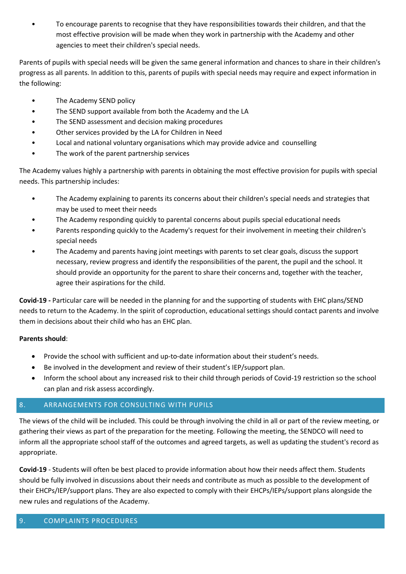• To encourage parents to recognise that they have responsibilities towards their children, and that the most effective provision will be made when they work in partnership with the Academy and other agencies to meet their children's special needs.

Parents of pupils with special needs will be given the same general information and chances to share in their children's progress as all parents. In addition to this, parents of pupils with special needs may require and expect information in the following:

- The Academy SEND policy
- The SEND support available from both the Academy and the LA
- The SEND assessment and decision making procedures
- Other services provided by the LA for Children in Need
- Local and national voluntary organisations which may provide advice and counselling
- The work of the parent partnership services

The Academy values highly a partnership with parents in obtaining the most effective provision for pupils with special needs. This partnership includes:

- The Academy explaining to parents its concerns about their children's special needs and strategies that may be used to meet their needs
- The Academy responding quickly to parental concerns about pupils special educational needs
- Parents responding quickly to the Academy's request for their involvement in meeting their children's special needs
- The Academy and parents having joint meetings with parents to set clear goals, discuss the support necessary, review progress and identify the responsibilities of the parent, the pupil and the school. It should provide an opportunity for the parent to share their concerns and, together with the teacher, agree their aspirations for the child.

**Covid-19 -** Particular care will be needed in the planning for and the supporting of students with EHC plans/SEND needs to return to the Academy. In the spirit of coproduction, educational settings should contact parents and involve them in decisions about their child who has an EHC plan.

# **Parents should**:

- Provide the school with sufficient and up-to-date information about their student's needs.
- Be involved in the development and review of their student's IEP/support plan.
- Inform the school about any increased risk to their child through periods of Covid-19 restriction so the school can plan and risk assess accordingly.

# 8. ARRANGEMENTS FOR CONSULTING WITH PUPILS

The views of the child will be included. This could be through involving the child in all or part of the review meeting, or gathering their views as part of the preparation for the meeting. Following the meeting, the SENDCO will need to inform all the appropriate school staff of the outcomes and agreed targets, as well as updating the student's record as appropriate.

**Covid-19** - Students will often be best placed to provide information about how their needs affect them. Students should be fully involved in discussions about their needs and contribute as much as possible to the development of their EHCPs/IEP/support plans. They are also expected to comply with their EHCPs/IEPs/support plans alongside the new rules and regulations of the Academy.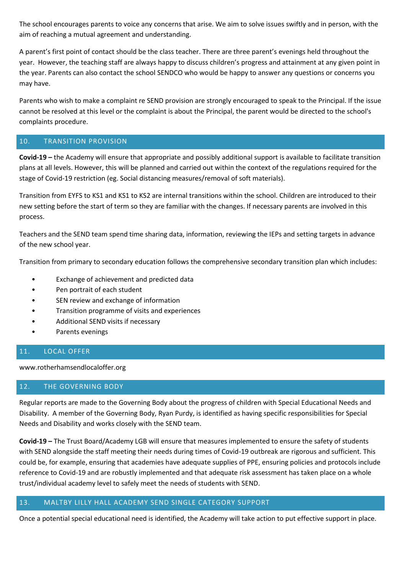The school encourages parents to voice any concerns that arise. We aim to solve issues swiftly and in person, with the aim of reaching a mutual agreement and understanding.

A parent's first point of contact should be the class teacher. There are three parent's evenings held throughout the year. However, the teaching staff are always happy to discuss children's progress and attainment at any given point in the year. Parents can also contact the school SENDCO who would be happy to answer any questions or concerns you may have.

Parents who wish to make a complaint re SEND provision are strongly encouraged to speak to the Principal. If the issue cannot be resolved at this level or the complaint is about the Principal, the parent would be directed to the school's complaints procedure.

## 10. TRANSITION PROVISION

**Covid-19 –** the Academy will ensure that appropriate and possibly additional support is available to facilitate transition plans at all levels. However, this will be planned and carried out within the context of the regulations required for the stage of Covid-19 restriction (eg. Social distancing measures/removal of soft materials).

Transition from EYFS to KS1 and KS1 to KS2 are internal transitions within the school. Children are introduced to their new setting before the start of term so they are familiar with the changes. If necessary parents are involved in this process.

Teachers and the SEND team spend time sharing data, information, reviewing the IEPs and setting targets in advance of the new school year.

Transition from primary to secondary education follows the comprehensive secondary transition plan which includes:

- Exchange of achievement and predicted data
- Pen portrait of each student
- SEN review and exchange of information
- Transition programme of visits and experiences
- Additional SEND visits if necessary
- Parents evenings

# 11. LOCAL OFFER

www.rotherhamsendlocaloffer.org

# 12. THE GOVERNING BODY

Regular reports are made to the Governing Body about the progress of children with Special Educational Needs and Disability. A member of the Governing Body, Ryan Purdy, is identified as having specific responsibilities for Special Needs and Disability and works closely with the SEND team.

**Covid-19 –** The Trust Board/Academy LGB will ensure that measures implemented to ensure the safety of students with SEND alongside the staff meeting their needs during times of Covid-19 outbreak are rigorous and sufficient. This could be, for example, ensuring that academies have adequate supplies of PPE, ensuring policies and protocols include reference to Covid-19 and are robustly implemented and that adequate risk assessment has taken place on a whole trust/individual academy level to safely meet the needs of students with SEND.

# 13. MALTBY LILLY HALL ACADEMY SEND SINGLE CATEGORY SUPPORT

Once a potential special educational need is identified, the Academy will take action to put effective support in place.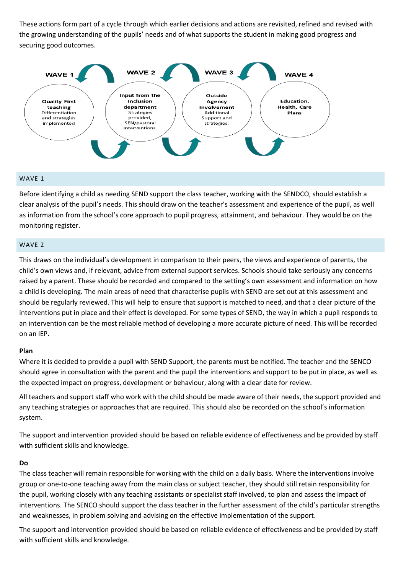These actions form part of a cycle through which earlier decisions and actions are revisited, refined and revised with the growing understanding of the pupils' needs and of what supports the student in making good progress and securing good outcomes.



## WAVE 1

Before identifying a child as needing SEND support the class teacher, working with the SENDCO, should establish a clear analysis of the pupil's needs. This should draw on the teacher's assessment and experience of the pupil, as well as information from the school's core approach to pupil progress, attainment, and behaviour. They would be on the monitoring register.

#### WAVE 2

This draws on the individual's development in comparison to their peers, the views and experience of parents, the child's own views and, if relevant, advice from external support services. Schools should take seriously any concerns raised by a parent. These should be recorded and compared to the setting's own assessment and information on how a child is developing. The main areas of need that characterise pupils with SEND are set out at this assessment and should be regularly reviewed. This will help to ensure that support is matched to need, and that a clear picture of the interventions put in place and their effect is developed. For some types of SEND, the way in which a pupil responds to an intervention can be the most reliable method of developing a more accurate picture of need. This will be recorded on an IEP.

#### **Plan**

Where it is decided to provide a pupil with SEND Support, the parents must be notified. The teacher and the SENCO should agree in consultation with the parent and the pupil the interventions and support to be put in place, as well as the expected impact on progress, development or behaviour, along with a clear date for review.

All teachers and support staff who work with the child should be made aware of their needs, the support provided and any teaching strategies or approaches that are required. This should also be recorded on the school's information system.

The support and intervention provided should be based on reliable evidence of effectiveness and be provided by staff with sufficient skills and knowledge.

#### **Do**

The class teacher will remain responsible for working with the child on a daily basis. Where the interventions involve group or one-to-one teaching away from the main class or subject teacher, they should still retain responsibility for the pupil, working closely with any teaching assistants or specialist staff involved, to plan and assess the impact of interventions. The SENCO should support the class teacher in the further assessment of the child's particular strengths and weaknesses, in problem solving and advising on the effective implementation of the support.

The support and intervention provided should be based on reliable evidence of effectiveness and be provided by staff with sufficient skills and knowledge.